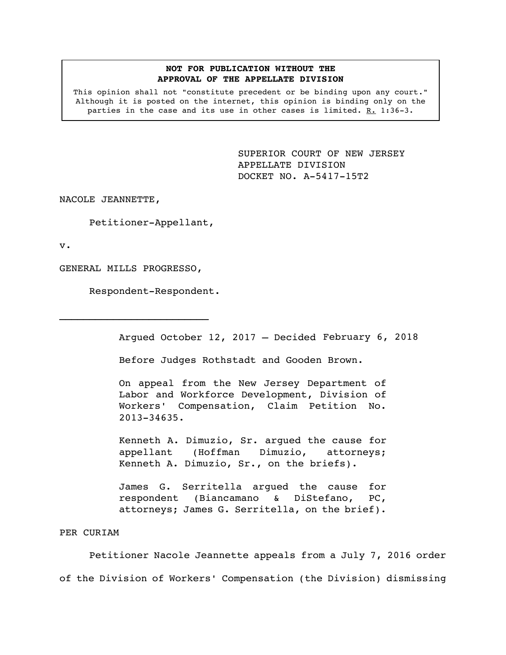## **NOT FOR PUBLICATION WITHOUT THE APPROVAL OF THE APPELLATE DIVISION**

This opinion shall not "constitute precedent or be binding upon any court." Although it is posted on the internet, this opinion is binding only on the parties in the case and its use in other cases is limited. R. 1:36-3.

> <span id="page-0-0"></span>SUPERIOR COURT OF NEW JERSEY APPELLATE DIVISION DOCKET NO. A-5417-15T2

NACOLE JEANNETTE,

Petitioner-Appellant,

v.

GENERAL MILLS PROGRESSO,

 $\mathcal{L}_\text{max}$ 

Respondent-Respondent.

Argued October 12, 2017 – Decided February 6, 2018

Before Judges Rothstadt and Gooden Brown.

On appeal from the New Jersey Department of Labor and Workforce Development, Division of Workers' Compensation, Claim Petition No. 2013-34635.

Kenneth A. Dimuzio, Sr. argued the cause for appellant (Hoffman Dimuzio, attorneys; Kenneth A. Dimuzio, Sr., on the briefs).

James G. Serritella argued the cause for respondent (Biancamano & DiStefano, PC, attorneys; James G. Serritella, on the brief).

# PER CURIAM

Petitioner Nacole Jeannette appeals from a July 7, 2016 order of the Division of Workers' Compensation (the Division) dismissing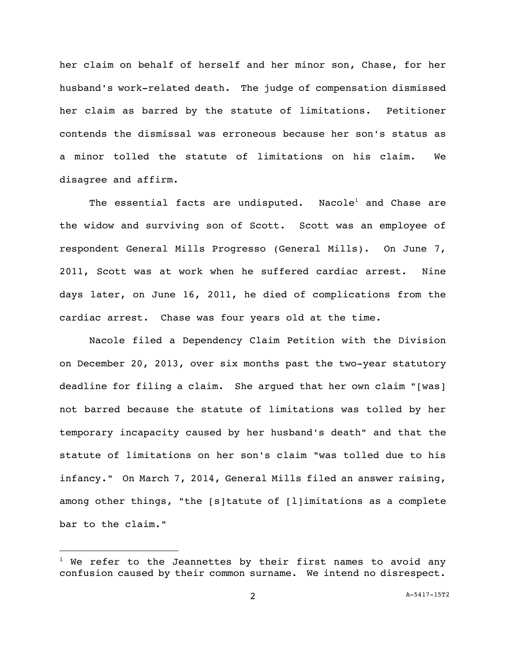her claim on behalf of herself and her minor son, Chase, for her husband's work-related death. The judge of compensation dismissed her claim as barred by the statute of limitations. Petitioner contends the dismissal was erroneous because her son's status as a minor tolled the statute of limitations on his claim. We disagree and affirm.

The essential facts are undisputed. Nacole<sup>1</sup> and Chase are the widow and surviving son of Scott. Scott was an employee of respondent General Mills Progresso (General Mills). On June 7, 2011, Scott was at work when he suffered cardiac arrest. Nine days later, on June 16, 2011, he died of complications from the cardiac arrest. Chase was four years old at the time.

Nacole filed a Dependency Claim Petition with the Division on December 20, 2013, over six months past the two-year statutory deadline for filing a claim. She argued that her own claim "[was] not barred because the statute of limitations was tolled by her temporary incapacity caused by her husband's death" and that the statute of limitations on her son's claim "was tolled due to his infancy." On March 7, 2014, General Mills filed an answer raising, among other things, "the [s]tatute of [l]imitations as a complete bar to the claim."

i<br>L

 $1$  We refer to the Jeannettes by their first names to avoid any confusion caused by their common surname. We intend no disrespect.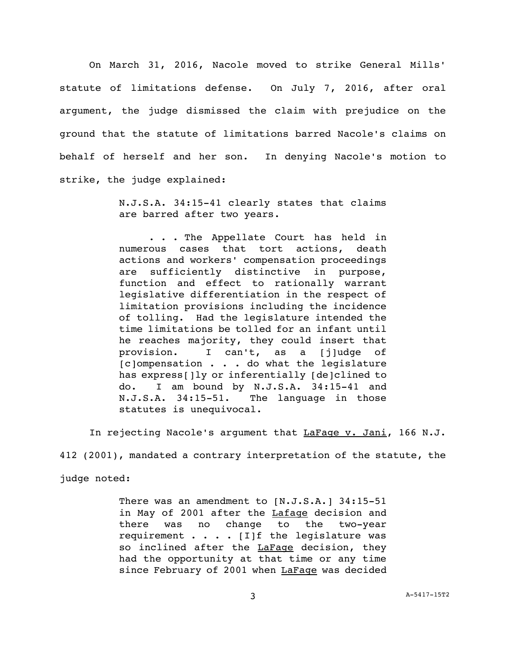On March 31, 2016, Nacole moved to strike General Mills' statute of limitations defense. On July 7, 2016, after oral argument, the judge dismissed the claim with prejudice on the ground that the statute of limitations barred Nacole's claims on behalf of herself and her son. In denying Nacole's motion to strike, the judge explained:

> N.J.S.A. 34:15-41 clearly states that claims are barred after two years.

> . . . The Appellate Court has held in numerous cases that tort actions, death actions and workers' compensation proceedings are sufficiently distinctive in purpose, function and effect to rationally warrant legislative differentiation in the respect of limitation provisions including the incidence of tolling. Had the legislature intended the time limitations be tolled for an infant until he reaches majority, they could insert that provision. I can't, as a [j]udge of [c]ompensation . . . do what the legislature has express[]ly or inferentially [de]clined to do. I am bound by N.J.S.A. 34:15-41 and N.J.S.A. 34:15-51. The language in those statutes is unequivocal.

In rejecting Nacole's argument that LaFage v. Jani, 166 N.J.

412 (2001), mandated a contrary interpretation of the statute, the

judge noted:

There was an amendment to [N.J.S.A.] 34:15-51 in May of 2001 after the Lafage decision and there was no change to the two-year requirement  $\cdots$  . . . [I]f the legislature was so inclined after the LaFage decision, they had the opportunity at that time or any time since February of 2001 when LaFage was decided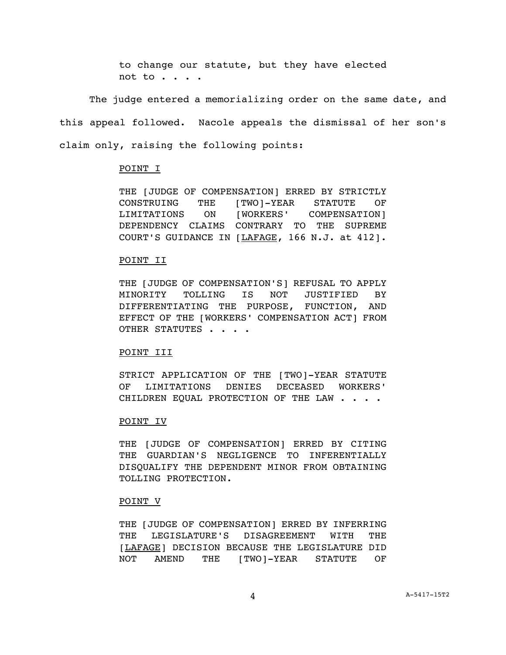to change our statute, but they have elected not to . . . .

The judge entered a memorializing order on the same date, and this appeal followed. Nacole appeals the dismissal of her son's claim only, raising the following points:

# POINT I

THE [JUDGE OF COMPENSATION] ERRED BY STRICTLY CONSTRUING THE [TWO]-YEAR STATUTE OF LIMITATIONS ON [WORKERS' COMPENSATION] DEPENDENCY CLAIMS CONTRARY TO THE SUPREME COURT'S GUIDANCE IN [LAFAGE, 166 N.J. at 412].

### POINT II

THE [JUDGE OF COMPENSATION'S] REFUSAL TO APPLY MINORITY TOLLING IS NOT JUSTIFIED BY DIFFERENTIATING THE PURPOSE, FUNCTION, AND EFFECT OF THE [WORKERS' COMPENSATION ACT] FROM OTHER STATUTES . . . .

## POINT III

STRICT APPLICATION OF THE [TWO]-YEAR STATUTE OF LIMITATIONS DENIES DECEASED WORKERS' CHILDREN EQUAL PROTECTION OF THE LAW . . . .

#### POINT IV

THE [JUDGE OF COMPENSATION] ERRED BY CITING THE GUARDIAN'S NEGLIGENCE TO INFERENTIALLY DISQUALIFY THE DEPENDENT MINOR FROM OBTAINING TOLLING PROTECTION.

#### POINT V

THE [JUDGE OF COMPENSATION] ERRED BY INFERRING THE LEGISLATURE'S DISAGREEMENT WITH THE [LAFAGE] DECISION BECAUSE THE LEGISLATURE DID NOT AMEND THE [TWO]-YEAR STATUTE OF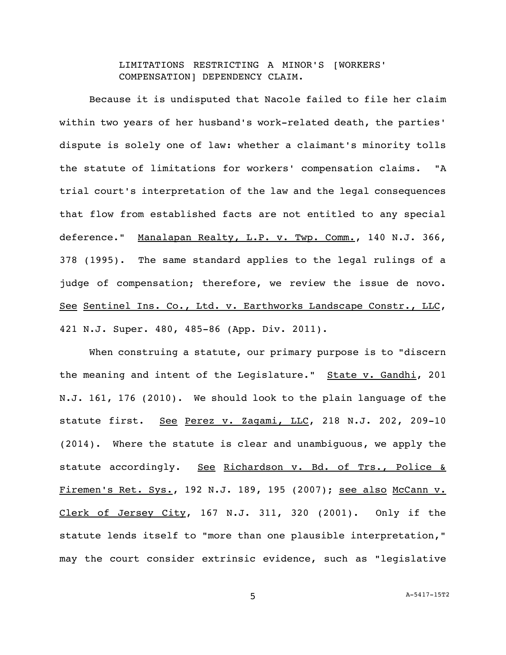LIMITATIONS RESTRICTING A MINOR'S [WORKERS' COMPENSATION] DEPENDENCY CLAIM.

Because it is undisputed that Nacole failed to file her claim within two years of her husband's work-related death, the parties' dispute is solely one of law: whether a claimant's minority tolls the statute of limitations for workers' compensation claims. "A trial court's interpretation of the law and the legal consequences that flow from established facts are not entitled to any special deference." Manalapan Realty, L.P. v. Twp. Comm., 140 N.J. 366, 378 (1995). The same standard applies to the legal rulings of a judge of compensation; therefore, we review the issue de novo. See Sentinel Ins. Co., Ltd. v. Earthworks Landscape Constr., LLC, 421 N.J. Super. 480, 485-86 (App. Div. 2011).

When construing a statute, our primary purpose is to "discern the meaning and intent of the Legislature." State v. Gandhi, 201 N.J. 161, 176 (2010). We should look to the plain language of the statute first. See Perez v. Zagami, LLC, 218 N.J. 202, 209-10 (2014). Where the statute is clear and unambiguous, we apply the statute accordingly. See Richardson v. Bd. of Trs., Police & Firemen's Ret. Sys., 192 N.J. 189, 195 (2007); see also McCann v. Clerk of Jersey City, 167 N.J. 311, 320 (2001). Only if the statute lends itself to "more than one plausible interpretation," may the court consider extrinsic evidence, such as "legislative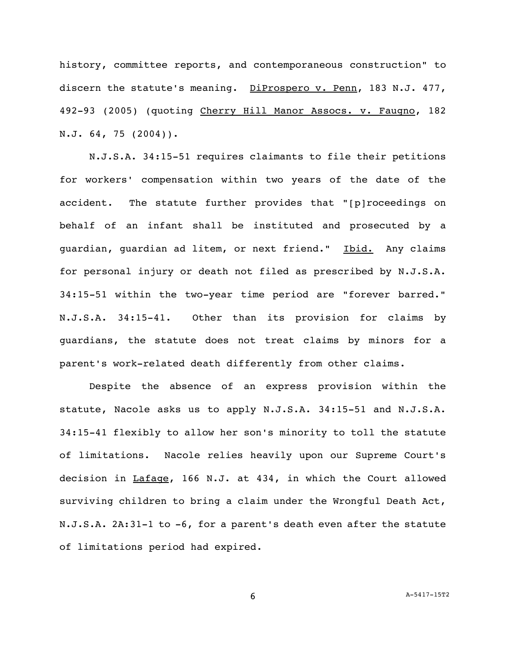history, committee reports, and contemporaneous construction" to discern the statute's meaning. DiProspero v. Penn, 183 N.J. 477, 492-93 (2005) (quoting Cherry Hill Manor Assocs. v. Faugno, 182 N.J. 64, 75 (2004)).

N.J.S.A. 34:15-51 requires claimants to file their petitions for workers' compensation within two years of the date of the accident. The statute further provides that "[p]roceedings on behalf of an infant shall be instituted and prosecuted by a guardian, guardian ad litem, or next friend." Ibid. Any claims for personal injury or death not filed as prescribed by N.J.S.A. 34:15-51 within the two-year time period are "forever barred." N.J.S.A. 34:15-41. Other than its provision for claims by guardians, the statute does not treat claims by minors for a parent's work-related death differently from other claims.

Despite the absence of an express provision within the statute, Nacole asks us to apply N.J.S.A. 34:15-51 and N.J.S.A. 34:15-41 flexibly to allow her son's minority to toll the statute of limitations. Nacole relies heavily upon our Supreme Court's decision in Lafage, 166 N.J. at 434, in which the Court allowed surviving children to bring a claim under the Wrongful Death Act, N.J.S.A. 2A:31-1 to -6, for a parent's death even after the statute of limitations period had expired.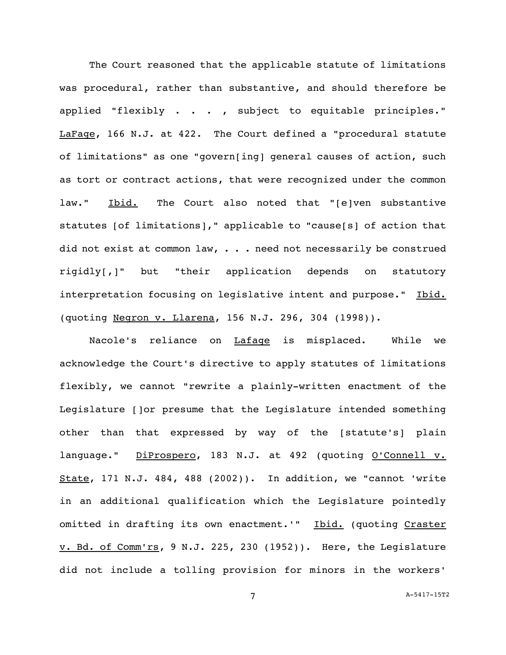The Court reasoned that the applicable statute of limitations was procedural, rather than substantive, and should therefore be applied "flexibly . . . , subject to equitable principles." LaFage, 166 N.J. at 422. The Court defined a "procedural statute of limitations" as one "govern[ing] general causes of action, such as tort or contract actions, that were recognized under the common law." Ibid. The Court also noted that "[e]ven substantive statutes [of limitations]," applicable to "cause[s] of action that did not exist at common law,  $\ldots$  need not necessarily be construed rigidly[,]" but "their application depends on statutory interpretation focusing on legislative intent and purpose." Ibid. (quoting Negron v. Llarena, 156 N.J. 296, 304 (1998)).

Nacole's reliance on Lafage is misplaced. While we acknowledge the Court's directive to apply statutes of limitations flexibly, we cannot "rewrite a plainly-written enactment of the Legislature []or presume that the Legislature intended something other than that expressed by way of the [statute's] plain language." DiProspero, 183 N.J. at 492 (quoting O'Connell v. State, 171 N.J. 484, 488 (2002)). In addition, we "cannot 'write in an additional qualification which the Legislature pointedly omitted in drafting its own enactment.'" Ibid. (quoting Craster v. Bd. of Comm'rs, 9 N.J. 225, 230 (1952)). Here, the Legislature did not include a tolling provision for minors in the workers'

7 A[-5417-15T2](#page-0-0)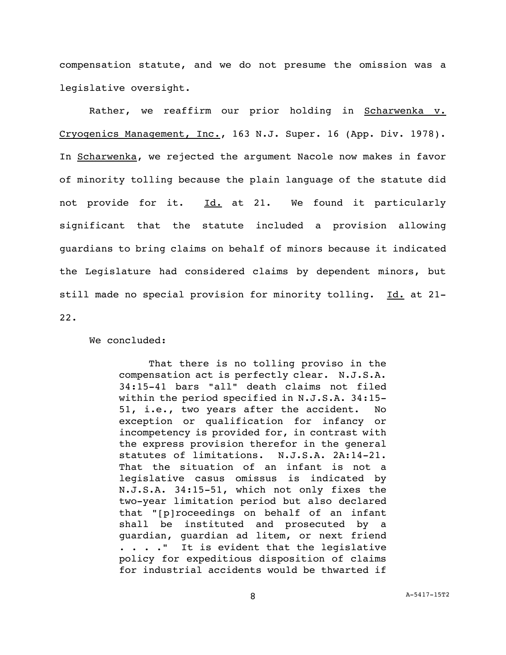compensation statute, and we do not presume the omission was a legislative oversight.

Rather, we reaffirm our prior holding in Scharwenka v. Cryogenics Management, Inc., 163 N.J. Super. 16 (App. Div. 1978). In Scharwenka, we rejected the argument Nacole now makes in favor of minority tolling because the plain language of the statute did not provide for it. Id. at 21. We found it particularly significant that the statute included a provision allowing guardians to bring claims on behalf of minors because it indicated the Legislature had considered claims by dependent minors, but still made no special provision for minority tolling. Id. at 21-22.

We concluded:

That there is no tolling proviso in the compensation act is perfectly clear. N.J.S.A. 34:15-41 bars "all" death claims not filed within the period specified in N.J.S.A. 34:15- 51, i.e., two years after the accident. No exception or qualification for infancy or incompetency is provided for, in contrast with the express provision therefor in the general statutes of limitations. N.J.S.A. 2A:14-21. That the situation of an infant is not a legislative casus omissus is indicated by N.J.S.A. 34:15-51, which not only fixes the two-year limitation period but also declared that "[p]roceedings on behalf of an infant shall be instituted and prosecuted by a guardian, guardian ad litem, or next friend . . . ." It is evident that the legislative policy for expeditious disposition of claims for industrial accidents would be thwarted if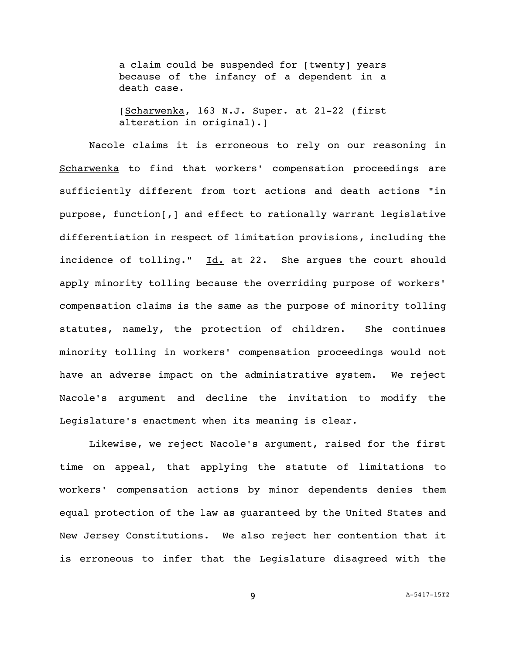a claim could be suspended for [twenty] years because of the infancy of a dependent in a death case.

[Scharwenka, 163 N.J. Super. at 21-22 (first alteration in original).]

Nacole claims it is erroneous to rely on our reasoning in Scharwenka to find that workers' compensation proceedings are sufficiently different from tort actions and death actions "in purpose, function[,] and effect to rationally warrant legislative differentiation in respect of limitation provisions, including the incidence of tolling." Id. at 22. She argues the court should apply minority tolling because the overriding purpose of workers' compensation claims is the same as the purpose of minority tolling statutes, namely, the protection of children. She continues minority tolling in workers' compensation proceedings would not have an adverse impact on the administrative system. We reject Nacole's argument and decline the invitation to modify the Legislature's enactment when its meaning is clear.

Likewise, we reject Nacole's argument, raised for the first time on appeal, that applying the statute of limitations to workers' compensation actions by minor dependents denies them equal protection of the law as guaranteed by the United States and New Jersey Constitutions. We also reject her contention that it is erroneous to infer that the Legislature disagreed with the